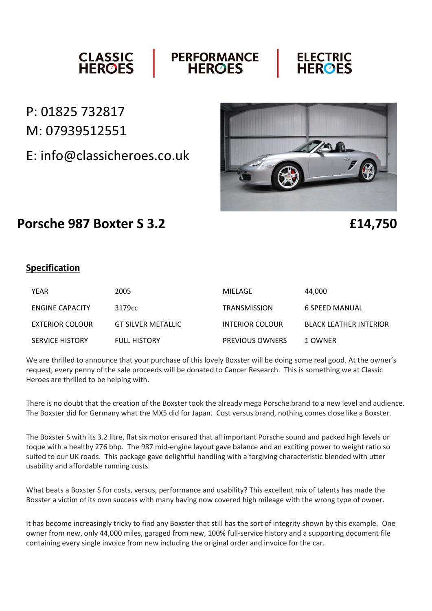#### **CLASSIC<br>HEROES PERFORMANCE ELECTRIC**<br>HEROES **HEROES**

# P: 01825 732817 M: 07939512551

E: info@classicheroes.co.uk



## **Porsche 987 Boxter S 3.2 £14,750**

### **Specification**

| YEAR                   | 2005                | MIELAGE                | 44.000                        |
|------------------------|---------------------|------------------------|-------------------------------|
| ENGINE CAPACITY        | 3179cc              | <b>TRANSMISSION</b>    | 6 SPEED MANUAL                |
| EXTERIOR COLOUR        | GT SILVER METALLIC  | <b>INTERIOR COLOUR</b> | <b>BLACK LEATHER INTERIOR</b> |
| <b>SERVICE HISTORY</b> | <b>FULL HISTORY</b> | <b>PREVIOUS OWNERS</b> | 1 OWNER                       |

We are thrilled to announce that your purchase of this lovely Boxster will be doing some real good. At the owner's request, every penny of the sale proceeds will be donated to Cancer Research. This is something we at Classic Heroes are thrilled to be helping with.

There is no doubt that the creation of the Boxster took the already mega Porsche brand to a new level and audience. The Boxster did for Germany what the MX5 did for Japan. Cost versus brand, nothing comes close like a Boxster.

The Boxster S with its 3.2 litre, flat six motor ensured that all important Porsche sound and packed high levels or toque with a healthy 276 bhp. The 987 mid-engine layout gave balance and an exciting power to weight ratio so suited to our UK roads. This package gave delightful handling with a forgiving characteristic blended with utter usability and affordable running costs.

What beats a Boxster S for costs, versus, performance and usability? This excellent mix of talents has made the Boxster a victim of its own success with many having now covered high mileage with the wrong type of owner.

It has become increasingly tricky to find any Boxster that still has the sort of integrity shown by this example. One owner from new, only 44,000 miles, garaged from new, 100% full-service history and a supporting document file containing every single invoice from new including the original order and invoice for the car.